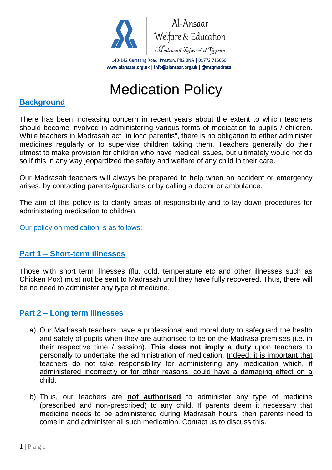

# Medication Policy

### **Background**

There has been increasing concern in recent years about the extent to which teachers should become involved in administering various forms of medication to pupils / children. While teachers in Madrasah act "in loco parentis", there is no obligation to either administer medicines regularly or to supervise children taking them. Teachers generally do their utmost to make provision for children who have medical issues, but ultimately would not do so if this in any way jeopardized the safety and welfare of any child in their care.

Our Madrasah teachers will always be prepared to help when an accident or emergency arises, by contacting parents/guardians or by calling a doctor or ambulance.

The aim of this policy is to clarify areas of responsibility and to lay down procedures for administering medication to children.

Our policy on medication is as follows:

#### **Part 1 – Short-term illnesses**

Those with short term illnesses (flu, cold, temperature etc and other illnesses such as Chicken Pox) must not be sent to Madrasah until they have fully recovered. Thus, there will be no need to administer any type of medicine.

#### **Part 2 – Long term illnesses**

- a) Our Madrasah teachers have a professional and moral duty to safeguard the health and safety of pupils when they are authorised to be on the Madrasa premises (i.e. in their respective time / session). **This does not imply a duty** upon teachers to personally to undertake the administration of medication. Indeed, it is important that teachers do not take responsibility for administering any medication which, if administered incorrectly or for other reasons, could have a damaging effect on a child.
- b) Thus, our teachers are **not authorised** to administer any type of medicine (prescribed and non-prescribed) to any child. If parents deem it necessary that medicine needs to be administered during Madrasah hours, then parents need to come in and administer all such medication. Contact us to discuss this.